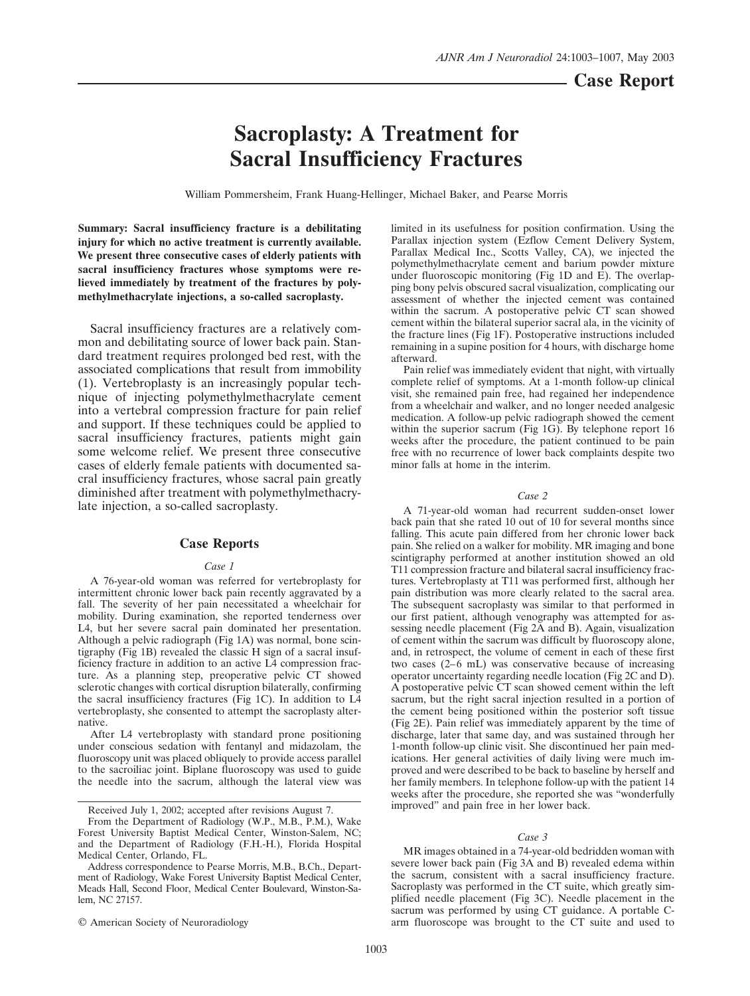# **Sacroplasty: A Treatment for Sacral Insufficiency Fractures**

William Pommersheim, Frank Huang-Hellinger, Michael Baker, and Pearse Morris

**Summary: Sacral insufficiency fracture is a debilitating injury for which no active treatment is currently available. We present three consecutive cases of elderly patients with sacral insufficiency fractures whose symptoms were relieved immediately by treatment of the fractures by polymethylmethacrylate injections, a so-called sacroplasty.**

Sacral insufficiency fractures are a relatively common and debilitating source of lower back pain. Standard treatment requires prolonged bed rest, with the associated complications that result from immobility (1). Vertebroplasty is an increasingly popular technique of injecting polymethylmethacrylate cement into a vertebral compression fracture for pain relief and support. If these techniques could be applied to sacral insufficiency fractures, patients might gain some welcome relief. We present three consecutive cases of elderly female patients with documented sacral insufficiency fractures, whose sacral pain greatly diminished after treatment with polymethylmethacrylate injection, a so-called sacroplasty.

## **Case Reports**

## *Case 1*

A 76-year-old woman was referred for vertebroplasty for intermittent chronic lower back pain recently aggravated by a fall. The severity of her pain necessitated a wheelchair for mobility. During examination, she reported tenderness over L4, but her severe sacral pain dominated her presentation. Although a pelvic radiograph (Fig 1A) was normal, bone scintigraphy (Fig 1B) revealed the classic H sign of a sacral insufficiency fracture in addition to an active L4 compression fracture. As a planning step, preoperative pelvic CT showed sclerotic changes with cortical disruption bilaterally, confirming the sacral insufficiency fractures (Fig 1C). In addition to L4 vertebroplasty, she consented to attempt the sacroplasty alternative.

After L4 vertebroplasty with standard prone positioning under conscious sedation with fentanyl and midazolam, the fluoroscopy unit was placed obliquely to provide access parallel to the sacroiliac joint. Biplane fluoroscopy was used to guide the needle into the sacrum, although the lateral view was

© American Society of Neuroradiology

limited in its usefulness for position confirmation. Using the Parallax injection system (Ezflow Cement Delivery System, Parallax Medical Inc., Scotts Valley, CA), we injected the polymethylmethacrylate cement and barium powder mixture under fluoroscopic monitoring (Fig 1D and  $\hat{E}$ ). The overlapping bony pelvis obscured sacral visualization, complicating our assessment of whether the injected cement was contained within the sacrum. A postoperative pelvic CT scan showed cement within the bilateral superior sacral ala, in the vicinity of the fracture lines (Fig 1F). Postoperative instructions included remaining in a supine position for 4 hours, with discharge home afterward.

Pain relief was immediately evident that night, with virtually complete relief of symptoms. At a 1-month follow-up clinical visit, she remained pain free, had regained her independence from a wheelchair and walker, and no longer needed analgesic medication. A follow-up pelvic radiograph showed the cement within the superior sacrum (Fig 1G). By telephone report 16 weeks after the procedure, the patient continued to be pain free with no recurrence of lower back complaints despite two minor falls at home in the interim.

#### *Case 2*

A 71-year-old woman had recurrent sudden-onset lower back pain that she rated 10 out of 10 for several months since falling. This acute pain differed from her chronic lower back pain. She relied on a walker for mobility. MR imaging and bone scintigraphy performed at another institution showed an old T11 compression fracture and bilateral sacral insufficiency fractures. Vertebroplasty at T11 was performed first, although her pain distribution was more clearly related to the sacral area. The subsequent sacroplasty was similar to that performed in our first patient, although venography was attempted for assessing needle placement (Fig 2A and B). Again, visualization of cement within the sacrum was difficult by fluoroscopy alone, and, in retrospect, the volume of cement in each of these first two cases (2–6 mL) was conservative because of increasing operator uncertainty regarding needle location (Fig 2C and D). A postoperative pelvic CT scan showed cement within the left sacrum, but the right sacral injection resulted in a portion of the cement being positioned within the posterior soft tissue (Fig 2E). Pain relief was immediately apparent by the time of discharge, later that same day, and was sustained through her 1-month follow-up clinic visit. She discontinued her pain medications. Her general activities of daily living were much improved and were described to be back to baseline by herself and her family members. In telephone follow-up with the patient 14 weeks after the procedure, she reported she was "wonderfully improved" and pain free in her lower back.

#### *Case 3*

MR images obtained in a 74-year-old bedridden woman with severe lower back pain (Fig 3A and B) revealed edema within the sacrum, consistent with a sacral insufficiency fracture. Sacroplasty was performed in the CT suite, which greatly simplified needle placement (Fig 3C). Needle placement in the sacrum was performed by using CT guidance. A portable Carm fluoroscope was brought to the CT suite and used to

Received July 1, 2002; accepted after revisions August 7.

From the Department of Radiology (W.P., M.B., P.M.), Wake Forest University Baptist Medical Center, Winston-Salem, NC; and the Department of Radiology (F.H.-H.), Florida Hospital Medical Center, Orlando, FL.

Address correspondence to Pearse Morris, M.B., B.Ch., Department of Radiology, Wake Forest University Baptist Medical Center, Meads Hall, Second Floor, Medical Center Boulevard, Winston-Salem, NC 27157.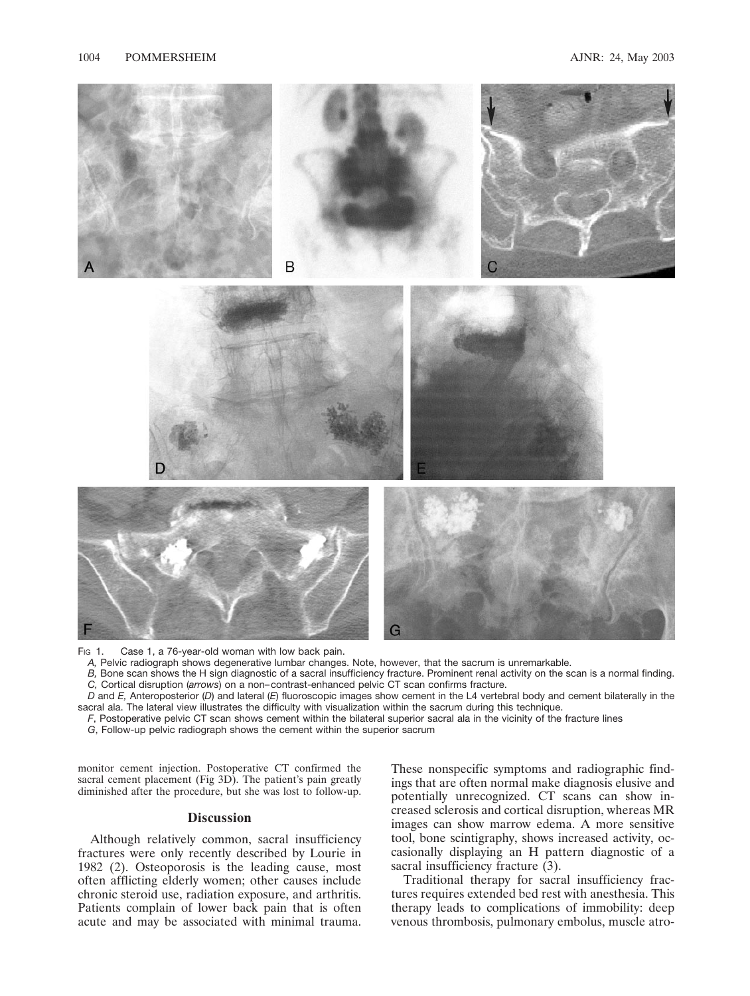

Fig 1. Case 1, a 76-year-old woman with low back pain.

*A,* Pelvic radiograph shows degenerative lumbar changes. Note, however, that the sacrum is unremarkable.

*B,* Bone scan shows the H sign diagnostic of a sacral insufficiency fracture. Prominent renal activity on the scan is a normal finding. *C,* Cortical disruption (*arrows*) on a non–contrast-enhanced pelvic CT scan confirms fracture.

*D* and *E,* Anteroposterior (*D*) and lateral (*E*) fluoroscopic images show cement in the L4 vertebral body and cement bilaterally in the sacral ala. The lateral view illustrates the difficulty with visualization within the sacrum during this technique.

*F*, Postoperative pelvic CT scan shows cement within the bilateral superior sacral ala in the vicinity of the fracture lines

*G*, Follow-up pelvic radiograph shows the cement within the superior sacrum

monitor cement injection. Postoperative CT confirmed the sacral cement placement (Fig 3D). The patient's pain greatly diminished after the procedure, but she was lost to follow-up.

## **Discussion**

Although relatively common, sacral insufficiency fractures were only recently described by Lourie in 1982 (2). Osteoporosis is the leading cause, most often afflicting elderly women; other causes include chronic steroid use, radiation exposure, and arthritis. Patients complain of lower back pain that is often acute and may be associated with minimal trauma. These nonspecific symptoms and radiographic findings that are often normal make diagnosis elusive and potentially unrecognized. CT scans can show increased sclerosis and cortical disruption, whereas MR images can show marrow edema. A more sensitive tool, bone scintigraphy, shows increased activity, occasionally displaying an H pattern diagnostic of a sacral insufficiency fracture  $(3)$ .

Traditional therapy for sacral insufficiency fractures requires extended bed rest with anesthesia. This therapy leads to complications of immobility: deep venous thrombosis, pulmonary embolus, muscle atro-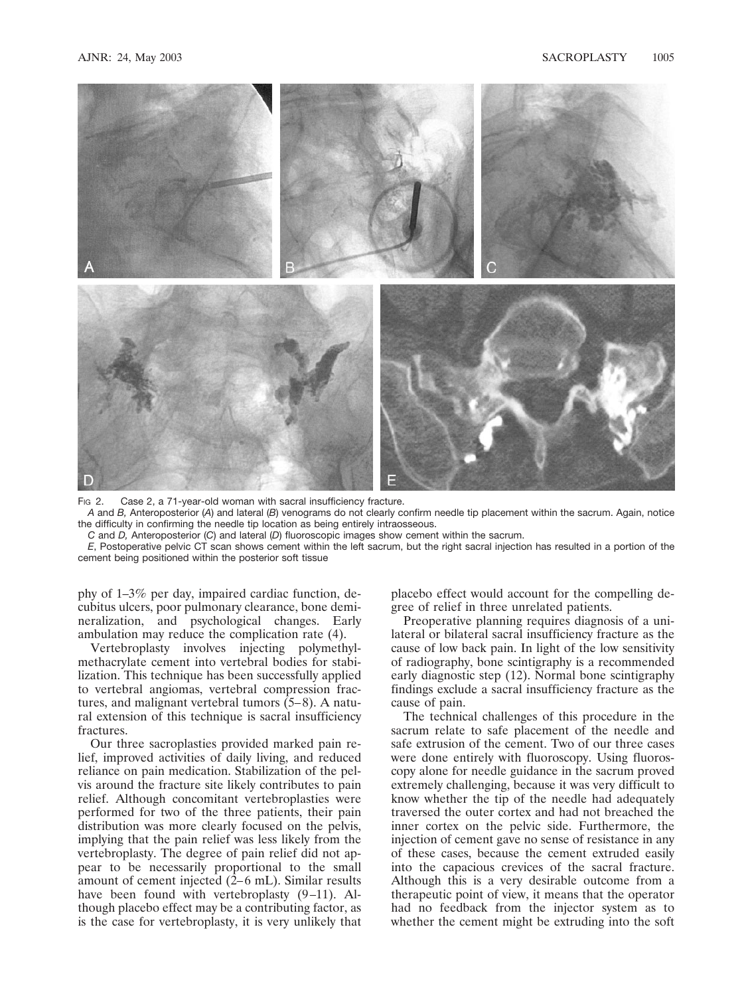

F<sub>IG</sub> 2. Case 2, a 71-year-old woman with sacral insufficiency fracture.

*A* and *B,* Anteroposterior (*A*) and lateral (*B*) venograms do not clearly confirm needle tip placement within the sacrum. Again, notice the difficulty in confirming the needle tip location as being entirely intraosseous.

*C* and *D,* Anteroposterior (*C*) and lateral (*D*) fluoroscopic images show cement within the sacrum.

*E*, Postoperative pelvic CT scan shows cement within the left sacrum, but the right sacral injection has resulted in a portion of the cement being positioned within the posterior soft tissue

phy of 1–3% per day, impaired cardiac function, decubitus ulcers, poor pulmonary clearance, bone demineralization, and psychological changes. Early ambulation may reduce the complication rate (4).

Vertebroplasty involves injecting polymethylmethacrylate cement into vertebral bodies for stabilization. This technique has been successfully applied to vertebral angiomas, vertebral compression fractures, and malignant vertebral tumors (5–8). A natural extension of this technique is sacral insufficiency fractures.

Our three sacroplasties provided marked pain relief, improved activities of daily living, and reduced reliance on pain medication. Stabilization of the pelvis around the fracture site likely contributes to pain relief. Although concomitant vertebroplasties were performed for two of the three patients, their pain distribution was more clearly focused on the pelvis, implying that the pain relief was less likely from the vertebroplasty. The degree of pain relief did not appear to be necessarily proportional to the small amount of cement injected (2–6 mL). Similar results have been found with vertebroplasty  $(9-11)$ . Although placebo effect may be a contributing factor, as is the case for vertebroplasty, it is very unlikely that placebo effect would account for the compelling degree of relief in three unrelated patients.

Preoperative planning requires diagnosis of a unilateral or bilateral sacral insufficiency fracture as the cause of low back pain. In light of the low sensitivity of radiography, bone scintigraphy is a recommended early diagnostic step (12). Normal bone scintigraphy findings exclude a sacral insufficiency fracture as the cause of pain.

The technical challenges of this procedure in the sacrum relate to safe placement of the needle and safe extrusion of the cement. Two of our three cases were done entirely with fluoroscopy. Using fluoroscopy alone for needle guidance in the sacrum proved extremely challenging, because it was very difficult to know whether the tip of the needle had adequately traversed the outer cortex and had not breached the inner cortex on the pelvic side. Furthermore, the injection of cement gave no sense of resistance in any of these cases, because the cement extruded easily into the capacious crevices of the sacral fracture. Although this is a very desirable outcome from a therapeutic point of view, it means that the operator had no feedback from the injector system as to whether the cement might be extruding into the soft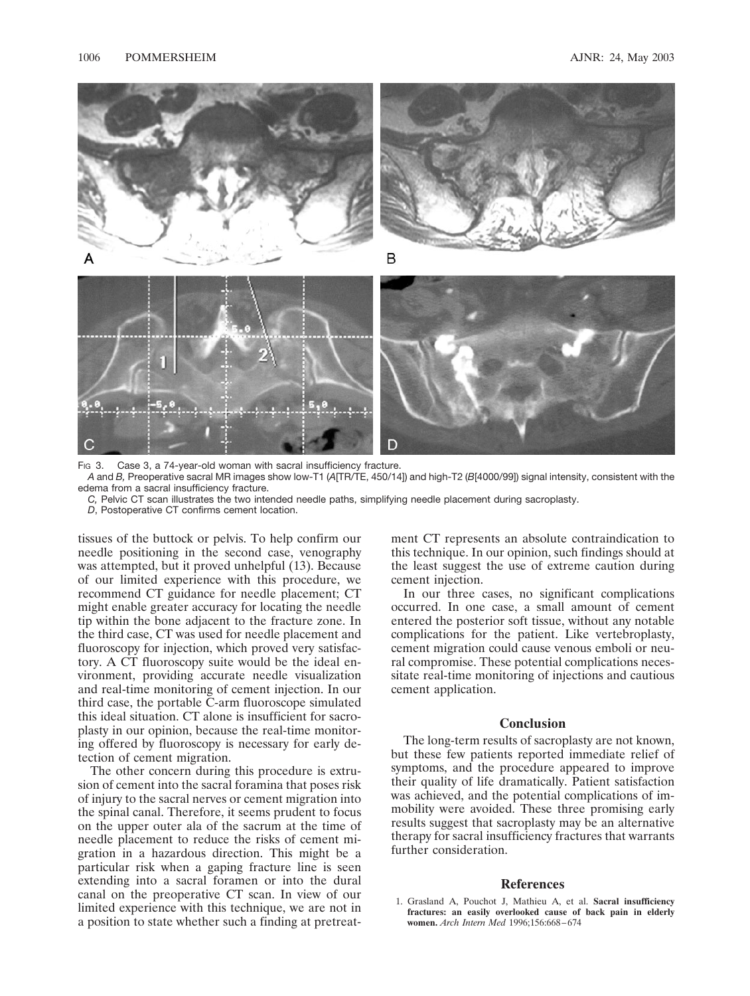

*A* and *B,* Preoperative sacral MR images show low-T1 (*A*[TR/TE, 450/14]) and high-T2 (*B*[4000/99]) signal intensity, consistent with the edema from a sacral insufficiency fracture.

*C,* Pelvic CT scan illustrates the two intended needle paths, simplifying needle placement during sacroplasty.

*D*, Postoperative CT confirms cement location.

tissues of the buttock or pelvis. To help confirm our needle positioning in the second case, venography was attempted, but it proved unhelpful (13). Because of our limited experience with this procedure, we recommend CT guidance for needle placement; CT might enable greater accuracy for locating the needle tip within the bone adjacent to the fracture zone. In the third case, CT was used for needle placement and fluoroscopy for injection, which proved very satisfactory. A CT fluoroscopy suite would be the ideal environment, providing accurate needle visualization and real-time monitoring of cement injection. In our third case, the portable C-arm fluoroscope simulated this ideal situation. CT alone is insufficient for sacroplasty in our opinion, because the real-time monitoring offered by fluoroscopy is necessary for early detection of cement migration.

The other concern during this procedure is extrusion of cement into the sacral foramina that poses risk of injury to the sacral nerves or cement migration into the spinal canal. Therefore, it seems prudent to focus on the upper outer ala of the sacrum at the time of needle placement to reduce the risks of cement migration in a hazardous direction. This might be a particular risk when a gaping fracture line is seen extending into a sacral foramen or into the dural canal on the preoperative CT scan. In view of our limited experience with this technique, we are not in a position to state whether such a finding at pretreatment CT represents an absolute contraindication to this technique. In our opinion, such findings should at the least suggest the use of extreme caution during cement injection.

In our three cases, no significant complications occurred. In one case, a small amount of cement entered the posterior soft tissue, without any notable complications for the patient. Like vertebroplasty, cement migration could cause venous emboli or neural compromise. These potential complications necessitate real-time monitoring of injections and cautious cement application.

## **Conclusion**

The long-term results of sacroplasty are not known, but these few patients reported immediate relief of symptoms, and the procedure appeared to improve their quality of life dramatically. Patient satisfaction was achieved, and the potential complications of immobility were avoided. These three promising early results suggest that sacroplasty may be an alternative therapy for sacral insufficiency fractures that warrants further consideration.

## **References**

<sup>1.</sup> Grasland A, Pouchot J, Mathieu A, et al. **Sacral insufficiency fractures: an easily overlooked cause of back pain in elderly women.** *Arch Intern Med* 1996;156:668–674